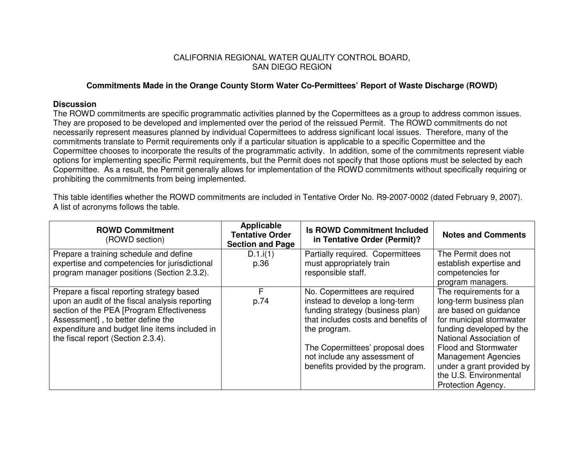## CALIFORNIA REGIONAL WATER QUALITY CONTROL BOARD, SAN DIEGO REGION

## **Commitments Made in the Orange County Storm Water Co-Permittees' Report of Waste Discharge (ROWD)**

## **Discussion**

The ROWD commitments are specific programmatic activities planned by the Copermittees as <sup>a</sup> group to address common issues. They are proposed to be developed and implemented over the period of the reissued Permit. The ROWD commitments do not necessarily represent measures planned by individual Copermittees to address significant local issues. Therefore, many of the commitments translate to Permit requirements only if <sup>a</sup> particular situation is applicable to <sup>a</sup> specific Copermittee and the Copermittee chooses to incorporate the results of the programmatic activity. In addition, some of the commitments represent viable options for implementing specific Permit requirements, but the Permit does not specify that those options must be selected by each Copermittee. As <sup>a</sup> result, the Permit generally allows for implementation of the ROWD commitments without specifically requiring or prohibiting the commitments from being implemented.

This table identifies whether the ROWD commitments are included in Tentative Order No. R9-2007-0002 (dated February 9, 2007). A list of acronyms follows the table.

| <b>ROWD Commitment</b><br>(ROWD section)       | Applicable<br><b>Tentative Order</b><br><b>Section and Page</b> | <b>Is ROWD Commitment Included</b><br>in Tentative Order (Permit)? | <b>Notes and Comments</b>   |
|------------------------------------------------|-----------------------------------------------------------------|--------------------------------------------------------------------|-----------------------------|
| Prepare a training schedule and define         | D.1.i(1)                                                        | Partially required. Copermittees                                   | The Permit does not         |
| expertise and competencies for jurisdictional  | p.36                                                            | must appropriately train                                           | establish expertise and     |
| program manager positions (Section 2.3.2).     |                                                                 | responsible staff.                                                 | competencies for            |
|                                                |                                                                 |                                                                    | program managers.           |
| Prepare a fiscal reporting strategy based      | F                                                               | No. Copermittees are required                                      | The requirements for a      |
| upon an audit of the fiscal analysis reporting | p.74                                                            | instead to develop a long-term                                     | long-term business plan     |
| section of the PEA [Program Effectiveness      |                                                                 | funding strategy (business plan)                                   | are based on guidance       |
| Assessment], to better define the              |                                                                 | that includes costs and benefits of                                | for municipal stormwater    |
| expenditure and budget line items included in  |                                                                 | the program.                                                       | funding developed by the    |
| the fiscal report (Section 2.3.4).             |                                                                 |                                                                    | National Association of     |
|                                                |                                                                 | The Copermittees' proposal does                                    | <b>Flood and Stormwater</b> |
|                                                |                                                                 | not include any assessment of                                      | <b>Management Agencies</b>  |
|                                                |                                                                 | benefits provided by the program.                                  | under a grant provided by   |
|                                                |                                                                 |                                                                    | the U.S. Environmental      |
|                                                |                                                                 |                                                                    | Protection Agency.          |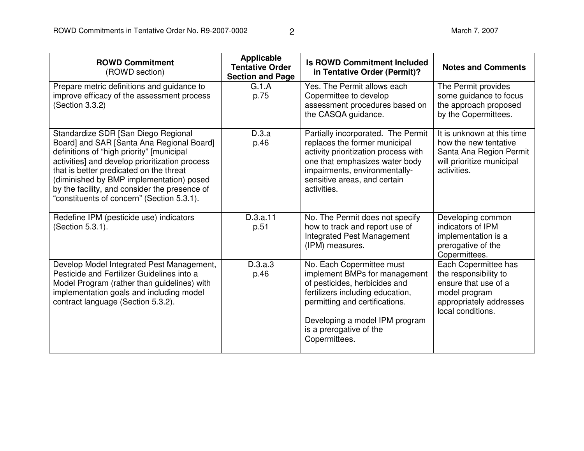| <b>ROWD Commitment</b><br>(ROWD section)                                                                                                                                                                                                                                                                                                                              | <b>Applicable</b><br><b>Tentative Order</b><br><b>Section and Page</b> | <b>Is ROWD Commitment Included</b><br>in Tentative Order (Permit)?                                                                                                                                                                              | <b>Notes and Comments</b>                                                                                                              |
|-----------------------------------------------------------------------------------------------------------------------------------------------------------------------------------------------------------------------------------------------------------------------------------------------------------------------------------------------------------------------|------------------------------------------------------------------------|-------------------------------------------------------------------------------------------------------------------------------------------------------------------------------------------------------------------------------------------------|----------------------------------------------------------------------------------------------------------------------------------------|
| Prepare metric definitions and guidance to<br>improve efficacy of the assessment process<br>(Section 3.3.2)                                                                                                                                                                                                                                                           | G.1.A<br>p.75                                                          | Yes. The Permit allows each<br>Copermittee to develop<br>assessment procedures based on<br>the CASQA guidance.                                                                                                                                  | The Permit provides<br>some guidance to focus<br>the approach proposed<br>by the Copermittees.                                         |
| Standardize SDR [San Diego Regional<br>Board] and SAR [Santa Ana Regional Board]<br>definitions of "high priority" [municipal<br>activities] and develop prioritization process<br>that is better predicated on the threat<br>(diminished by BMP implementation) posed<br>by the facility, and consider the presence of<br>"constituents of concern" (Section 5.3.1). | D.3.a<br>p.46                                                          | Partially incorporated. The Permit<br>replaces the former municipal<br>activity prioritization process with<br>one that emphasizes water body<br>impairments, environmentally-<br>sensitive areas, and certain<br>activities.                   | It is unknown at this time<br>how the new tentative<br>Santa Ana Region Permit<br>will prioritize municipal<br>activities.             |
| Redefine IPM (pesticide use) indicators<br>(Section 5.3.1).                                                                                                                                                                                                                                                                                                           | D.3.a.11<br>p.51                                                       | No. The Permit does not specify<br>how to track and report use of<br>Integrated Pest Management<br>(IPM) measures.                                                                                                                              | Developing common<br>indicators of IPM<br>implementation is a<br>prerogative of the<br>Copermittees.                                   |
| Develop Model Integrated Pest Management,<br>Pesticide and Fertilizer Guidelines into a<br>Model Program (rather than guidelines) with<br>implementation goals and including model<br>contract language (Section 5.3.2).                                                                                                                                              | D.3.a.3<br>p.46                                                        | No. Each Copermittee must<br>implement BMPs for management<br>of pesticides, herbicides and<br>fertilizers including education,<br>permitting and certifications.<br>Developing a model IPM program<br>is a prerogative of the<br>Copermittees. | Each Copermittee has<br>the responsibility to<br>ensure that use of a<br>model program<br>appropriately addresses<br>local conditions. |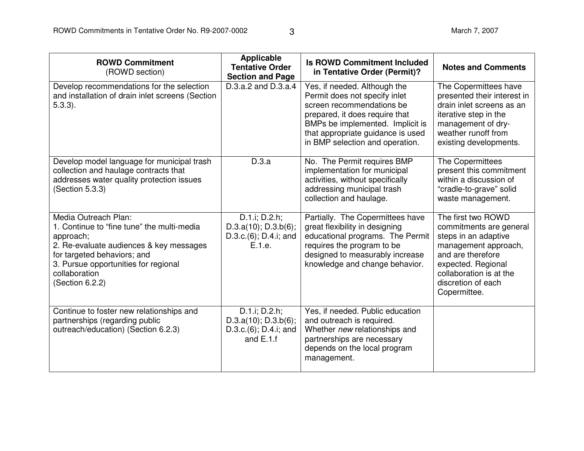| <b>ROWD Commitment</b><br>(ROWD section)                                                                                                                                                                                              | <b>Applicable</b><br><b>Tentative Order</b><br><b>Section and Page</b>              | <b>Is ROWD Commitment Included</b><br>in Tentative Order (Permit)?                                                                                                                                                                       | <b>Notes and Comments</b>                                                                                                                                                                                 |
|---------------------------------------------------------------------------------------------------------------------------------------------------------------------------------------------------------------------------------------|-------------------------------------------------------------------------------------|------------------------------------------------------------------------------------------------------------------------------------------------------------------------------------------------------------------------------------------|-----------------------------------------------------------------------------------------------------------------------------------------------------------------------------------------------------------|
| Develop recommendations for the selection<br>and installation of drain inlet screens (Section<br>$5.3.3$ ).                                                                                                                           | $D.3.a.2$ and $D.3.a.4$                                                             | Yes, if needed. Although the<br>Permit does not specify inlet<br>screen recommendations be<br>prepared, it does require that<br>BMPs be implemented. Implicit is<br>that appropriate guidance is used<br>in BMP selection and operation. | The Copermittees have<br>presented their interest in<br>drain inlet screens as an<br>iterative step in the<br>management of dry-<br>weather runoff from<br>existing developments.                         |
| Develop model language for municipal trash<br>collection and haulage contracts that<br>addresses water quality protection issues<br>(Section 5.3.3)                                                                                   | D.3.a                                                                               | No. The Permit requires BMP<br>implementation for municipal<br>activities, without specifically<br>addressing municipal trash<br>collection and haulage.                                                                                 | The Copermittees<br>present this commitment<br>within a discussion of<br>"cradle-to-grave" solid<br>waste management.                                                                                     |
| Media Outreach Plan:<br>1. Continue to "fine tune" the multi-media<br>approach;<br>2. Re-evaluate audiences & key messages<br>for targeted behaviors; and<br>3. Pursue opportunities for regional<br>collaboration<br>(Section 6.2.2) | D.1.i; D.2.h;<br>$D.3.a(10)$ ; $D.3.b(6)$ ;<br>D.3.c.(6); D.4.i; and<br>E.1.e.      | Partially. The Copermittees have<br>great flexibility in designing<br>educational programs. The Permit<br>requires the program to be<br>designed to measurably increase<br>knowledge and change behavior.                                | The first two ROWD<br>commitments are general<br>steps in an adaptive<br>management approach,<br>and are therefore<br>expected. Regional<br>collaboration is at the<br>discretion of each<br>Copermittee. |
| Continue to foster new relationships and<br>partnerships (regarding public<br>outreach/education) (Section 6.2.3)                                                                                                                     | D.1.i; D.2.h;<br>$D.3.a(10)$ ; $D.3.b(6)$ ;<br>D.3.c.(6); D.4.i; and<br>and $E.1.f$ | Yes, if needed. Public education<br>and outreach is required.<br>Whether new relationships and<br>partnerships are necessary<br>depends on the local program<br>management.                                                              |                                                                                                                                                                                                           |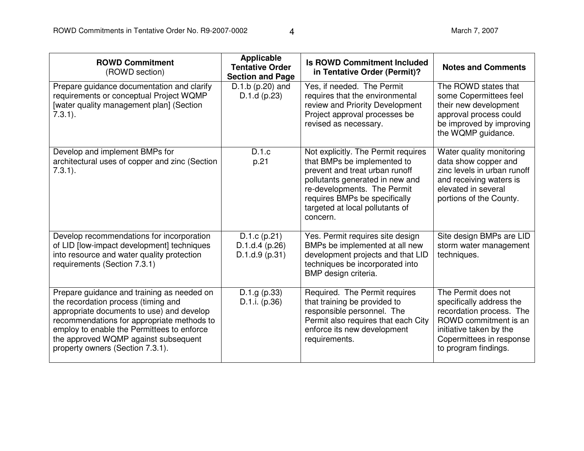| <b>ROWD Commitment</b><br>(ROWD section)                                                                                                                                                                                                                                                               | <b>Applicable</b><br><b>Tentative Order</b><br><b>Section and Page</b> | <b>Is ROWD Commitment Included</b><br>in Tentative Order (Permit)?                                                                                                                                                                                     | <b>Notes and Comments</b>                                                                                                                                                           |
|--------------------------------------------------------------------------------------------------------------------------------------------------------------------------------------------------------------------------------------------------------------------------------------------------------|------------------------------------------------------------------------|--------------------------------------------------------------------------------------------------------------------------------------------------------------------------------------------------------------------------------------------------------|-------------------------------------------------------------------------------------------------------------------------------------------------------------------------------------|
| Prepare guidance documentation and clarify<br>requirements or conceptual Project WQMP<br>[water quality management plan] (Section<br>$7.3.1$ ).                                                                                                                                                        | $D.1.b$ (p.20) and<br>D.1.d(p.23)                                      | Yes, if needed. The Permit<br>requires that the environmental<br>review and Priority Development<br>Project approval processes be<br>revised as necessary.                                                                                             | The ROWD states that<br>some Copermittees feel<br>their new development<br>approval process could<br>be improved by improving<br>the WQMP guidance.                                 |
| Develop and implement BMPs for<br>architectural uses of copper and zinc (Section<br>$7.3.1$ ).                                                                                                                                                                                                         | D.1.c<br>p.21                                                          | Not explicitly. The Permit requires<br>that BMPs be implemented to<br>prevent and treat urban runoff<br>pollutants generated in new and<br>re-developments. The Permit<br>requires BMPs be specifically<br>targeted at local pollutants of<br>concern. | Water quality monitoring<br>data show copper and<br>zinc levels in urban runoff<br>and receiving waters is<br>elevated in several<br>portions of the County.                        |
| Develop recommendations for incorporation<br>of LID [low-impact development] techniques<br>into resource and water quality protection<br>requirements (Section 7.3.1)                                                                                                                                  | $D.1.c$ (p.21)<br>D.1.d.4(p.26)<br>D.1.d.9(p.31)                       | Yes. Permit requires site design<br>BMPs be implemented at all new<br>development projects and that LID<br>techniques be incorporated into<br>BMP design criteria.                                                                                     | Site design BMPs are LID<br>storm water management<br>techniques.                                                                                                                   |
| Prepare guidance and training as needed on<br>the recordation process (timing and<br>appropriate documents to use) and develop<br>recommendations for appropriate methods to<br>employ to enable the Permittees to enforce<br>the approved WQMP against subsequent<br>property owners (Section 7.3.1). | D.1.g (p.33)<br>D.1.i. $(p.36)$                                        | Required. The Permit requires<br>that training be provided to<br>responsible personnel. The<br>Permit also requires that each City<br>enforce its new development<br>requirements.                                                                     | The Permit does not<br>specifically address the<br>recordation process. The<br>ROWD commitment is an<br>initiative taken by the<br>Copermittees in response<br>to program findings. |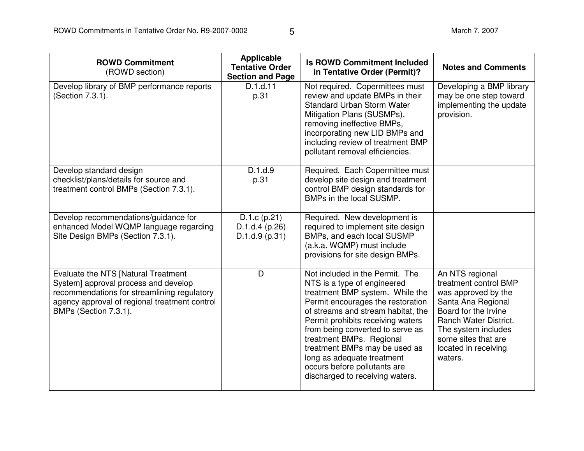| <b>ROWD Commitment</b><br>(ROWD section)                                                                                                                                                             | <b>Applicable</b><br><b>Tentative Order</b><br><b>Section and Page</b> | <b>Is ROWD Commitment Included</b><br>in Tentative Order (Permit)?                                                                                                                                                                                                                                                                                                                                                  | <b>Notes and Comments</b>                                                                                                                                                                                               |
|------------------------------------------------------------------------------------------------------------------------------------------------------------------------------------------------------|------------------------------------------------------------------------|---------------------------------------------------------------------------------------------------------------------------------------------------------------------------------------------------------------------------------------------------------------------------------------------------------------------------------------------------------------------------------------------------------------------|-------------------------------------------------------------------------------------------------------------------------------------------------------------------------------------------------------------------------|
| Develop library of BMP performance reports<br>(Section 7.3.1).                                                                                                                                       | D.1.d.11<br>p.31                                                       | Not required. Copermittees must<br>review and update BMPs in their<br><b>Standard Urban Storm Water</b><br>Mitigation Plans (SUSMPs),<br>removing ineffective BMPs,<br>incorporating new LID BMPs and<br>including review of treatment BMP<br>pollutant removal efficiencies.                                                                                                                                       | Developing a BMP library<br>may be one step toward<br>implementing the update<br>provision.                                                                                                                             |
| Develop standard design<br>checklist/plans/details for source and<br>treatment control BMPs (Section 7.3.1).                                                                                         | D.1.d.9<br>p.31                                                        | Required. Each Copermittee must<br>develop site design and treatment<br>control BMP design standards for<br>BMPs in the local SUSMP.                                                                                                                                                                                                                                                                                |                                                                                                                                                                                                                         |
| Develop recommendations/guidance for<br>enhanced Model WQMP language regarding<br>Site Design BMPs (Section 7.3.1).                                                                                  | D.1.c (p.21)<br>D.1.d.4(p.26)<br>D.1.d.9(p.31)                         | Required. New development is<br>required to implement site design<br>BMPs, and each local SUSMP<br>(a.k.a. WQMP) must include<br>provisions for site design BMPs.                                                                                                                                                                                                                                                   |                                                                                                                                                                                                                         |
| Evaluate the NTS [Natural Treatment<br>System] approval process and develop<br>recommendations for streamlining regulatory<br>agency approval of regional treatment control<br>BMPs (Section 7.3.1). | D                                                                      | Not included in the Permit. The<br>NTS is a type of engineered<br>treatment BMP system. While the<br>Permit encourages the restoration<br>of streams and stream habitat, the<br>Permit prohibits receiving waters<br>from being converted to serve as<br>treatment BMPs. Regional<br>treatment BMPs may be used as<br>long as adequate treatment<br>occurs before pollutants are<br>discharged to receiving waters. | An NTS regional<br>treatment control BMP<br>was approved by the<br>Santa Ana Regional<br>Board for the Irvine<br>Ranch Water District.<br>The system includes<br>some sites that are<br>located in receiving<br>waters. |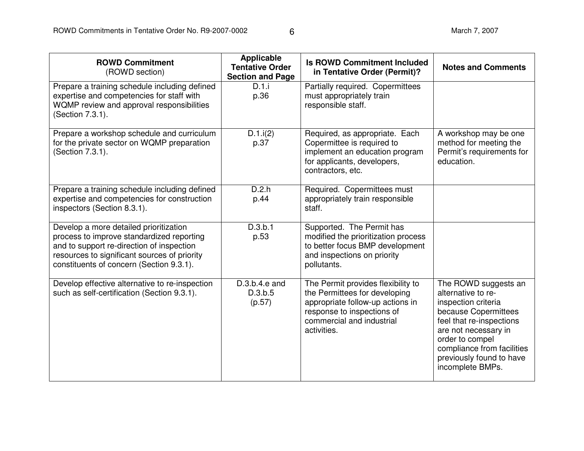| <b>ROWD Commitment</b><br>(ROWD section)                                                                                                                                                                                     | <b>Applicable</b><br><b>Tentative Order</b><br><b>Section and Page</b> | <b>Is ROWD Commitment Included</b><br>in Tentative Order (Permit)?                                                                                                                | <b>Notes and Comments</b>                                                                                                                                                                                                                      |
|------------------------------------------------------------------------------------------------------------------------------------------------------------------------------------------------------------------------------|------------------------------------------------------------------------|-----------------------------------------------------------------------------------------------------------------------------------------------------------------------------------|------------------------------------------------------------------------------------------------------------------------------------------------------------------------------------------------------------------------------------------------|
| Prepare a training schedule including defined<br>expertise and competencies for staff with<br>WQMP review and approval responsibilities<br>(Section 7.3.1).                                                                  | D.1.i<br>p.36                                                          | Partially required. Copermittees<br>must appropriately train<br>responsible staff.                                                                                                |                                                                                                                                                                                                                                                |
| Prepare a workshop schedule and curriculum<br>for the private sector on WQMP preparation<br>(Section 7.3.1).                                                                                                                 | D.1.i(2)<br>p.37                                                       | Required, as appropriate. Each<br>Copermittee is required to<br>implement an education program<br>for applicants, developers,<br>contractors, etc.                                | A workshop may be one<br>method for meeting the<br>Permit's requirements for<br>education.                                                                                                                                                     |
| Prepare a training schedule including defined<br>expertise and competencies for construction<br>inspectors (Section 8.3.1).                                                                                                  | D.2.h<br>p.44                                                          | Required. Copermittees must<br>appropriately train responsible<br>staff.                                                                                                          |                                                                                                                                                                                                                                                |
| Develop a more detailed prioritization<br>process to improve standardized reporting<br>and to support re-direction of inspection<br>resources to significant sources of priority<br>constituents of concern (Section 9.3.1). | D.3.b.1<br>p.53                                                        | Supported. The Permit has<br>modified the prioritization process<br>to better focus BMP development<br>and inspections on priority<br>pollutants.                                 |                                                                                                                                                                                                                                                |
| Develop effective alternative to re-inspection<br>such as self-certification (Section 9.3.1).                                                                                                                                | $D.3.b.4.e.$ and<br>D.3.b.5<br>(p.57)                                  | The Permit provides flexibility to<br>the Permittees for developing<br>appropriate follow-up actions in<br>response to inspections of<br>commercial and industrial<br>activities. | The ROWD suggests an<br>alternative to re-<br>inspection criteria<br>because Copermittees<br>feel that re-inspections<br>are not necessary in<br>order to compel<br>compliance from facilities<br>previously found to have<br>incomplete BMPs. |